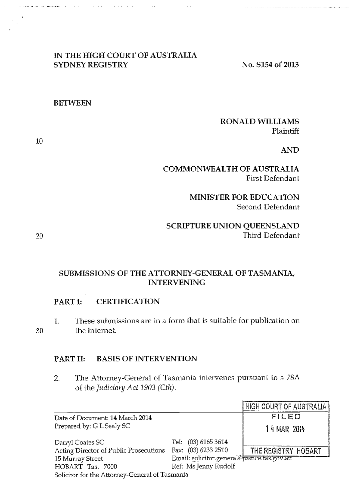### **IN THE HIGH COURT OF AUSTRALIA SYDNEY REGISTRY** No. S154 of 2013

#### **BETWEEN**

### **RONALD WILLIAMS**  Plaintiff

**AND** 

## **COMMONWEALTH OF AUSTRALIA**  First Defendant

**MINISTER FOR EDUCATION**  Second Defendant

**SCRIPTURE UNION QUEENSLAND**  Third Defendant

**SUBMISSIONS OF THE ATTORNEY-GENERAL OF TASMANIA, INTERVENING** 

#### **PART I: CERTIFICATION**

1. These submissions are in a form that is suitable for publication on the Internet.

#### **PART II: BASIS OF INTERVENTION**

2. The Attorney-General of Tasmania intervenes pursuant to s 78A of the Judiciary Act 1903 (Cth).

|                                                |                                            | <b>HIGH COURT OF AUSTRALIA!</b> |
|------------------------------------------------|--------------------------------------------|---------------------------------|
| Date of Document: 14 March 2014                |                                            | FILED                           |
| Prepared by: G L Sealy SC                      |                                            | 14 MAR 2014                     |
| Darryl Coates SC                               | Tel: (03) 6165 3614                        |                                 |
| Acting Director of Public Prosecutions         | Fax: (03) 6233 2510                        | THE REGISTRY HOBART             |
| 15 Murray Street                               | Email: solicitor.general@ustice.tas.gov.au |                                 |
| HOBART Tas. 7000                               | Ref: Ms Jenny Rudolf                       |                                 |
| Solicitor for the Attorney-General of Tasmania |                                            |                                 |

10

20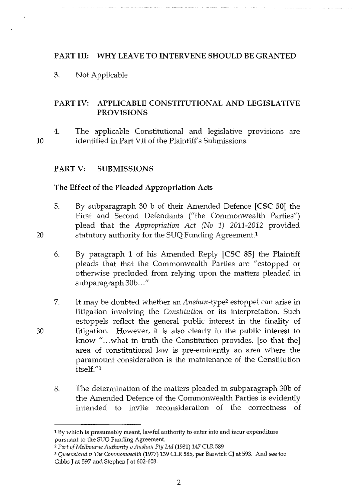## PART III: WHY LEAVE TO INTERVENE SHOULD BE GRANTED

3. Not Applicable

## PART IV: APPLICABLE CONSTITUTIONAL AND LEGISLATIVE PROVISIONS

10 4. The applicable Constitutional and legislative provisions are identified in Part VII of the Plaintiff's Submissions.

## PART V: SUBMISSIONS

20

30

#### The Effect of the Pleaded Appropriation Acts

- 5. By subparagraph 30 b of their Amended Defence [CSC 50] the First and Second Defendants ("the Commonwealth Parties") plead that the *Appropriation Act (No 1) 2011-2012* provided statutory authority for the SUQ Funding Agreement.<sup>1</sup>
- 6. By paragraph 1 of his Amended Reply [CSC 85] the Plaintiff pleads that that the Commonwealth Parties are "estopped or otherwise precluded from relying upon the matters pleaded in subparagraph 30b..."
- 7. It may be doubted whether an *Anshun-type2* estoppel can arise in litigation involving the *Constitution* or its interpretation. Such estoppels reflect the general public interest in the finality of litigation. However, it is also clearly in the public interest to know "...what in truth the Constitution provides. [so that the] area of constitutional law is pre-eminently an area where the paramount consideration is the maintenance of the Constitution itsel£."3
	- 8. The determination of the matters pleaded in subparagraph 30b of the Amended Defence of the Commonwealth Parties is evidently intended to invite reconsideration of the correctness of

<sup>&#</sup>x27; By which is presumably meant, lawful authority to enter into and incur expenditure pursuant to the SUQ Funding Agreement.

<sup>2</sup>*Port of Melbourne Auth01illj v Anslnm Pty Ltd* (1981) 147 CLR 589

<sup>3</sup>*Queensland v The Commonwealth* (1977) 139 CLR 585, per Barwick CJ at 593. And see too Gibbs J at 597 and Stephen J at 602-603.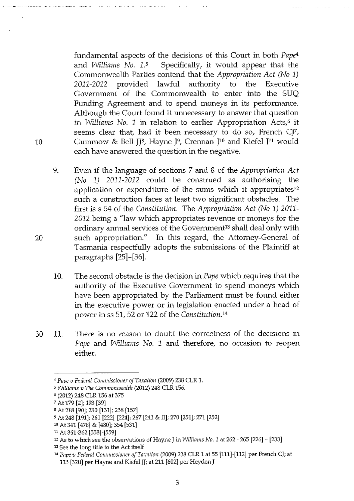fundamental aspects of the decisions of this Court in both *Pape4*  and *Williams No.* 1.5 Specifically, it would appear that the Commonwealth Parties contend that the *Appropriation Act (No* 1) 2011-2012 provided lawful authority to the Executive Government of the Commonwealth to enter into the SUQ Funding Agreement and to spend moneys in its performance. Although the Court found it unnecessary to answer that question in *Williams No. 1* in relation to earlier Appropriation Acts,<sup>6</sup> it seems clear that, had it been necessary to do so, French CJ7, 10 Gummow & Bell JJ<sup>8</sup>, Hayne J<sup>9</sup>, Crennan J<sup>10</sup> and Kiefel J<sup>11</sup> would each have answered the question in the negative.

- 9. Even if the language of sections 7 and 8 of the *Appropriation Act (No* 1) 2011-2012 could be construed as authorising the application or expenditure of the sums which it appropriates12 such a construction faces at least two significant obstacles. The first iss 54 of the *Constitution.* The *Appropriation Act (No* 1) 2011- 2012 being a "law which appropriates revenue or moneys for the ordinary annual services of the Government<sup>13</sup> shall deal only with such appropriation." In this regard, the Attorney-General of Tasmania respectfully adopts the submissions of the Plaintiff at paragraphs [25]-[36].
- 10. The second obstacle is the decision in *Pape* which requires that the authority of the Executive Government to spend moneys which have been appropriated by the Parliament must be found either in the executive power or in legislation enacted under a head of power in ss 51, 52 or 122 of the *Constitution.14*
- 30 11. There is no reason to doubt the correctness of the decisions in *Pape* and *Williams No.* 1 and therefore, no occasion to reopen either.

<sup>•</sup> *Pape v Federal Commissioner of Taxation* (2009) 238 CLR 1.

<sup>&#</sup>x27; *Williams v Tile Commonwealth* (2012) 248 CLR 156.

<sup>&#</sup>x27; (2012) 248 CLR 156 at 375

<sup>7</sup> At179 [2]; 193 [39]

sAt 218 [90]; 230 [131]; 238 [157]

<sup>9</sup> At 248 [191]; 261 [222]-[224]; 267 [241 & ff]; 270 [251]; 271 [252]

<sup>1</sup>o At341 [478] & [480]; 354 [531]

n At 361-362 [558]-[559]

<sup>12</sup> As to which see the observations of Hayne J in *Williams No.* 1 at 262- 265 [226]- [233]

<sup>13</sup> See the long title to the Act itself

<sup>&</sup>lt;sup>14</sup> Pape v Federal Commissioner of Taxation (2009) 238 CLR 1 at 55 [111]-[112] per French CJ; at 113 [320] per Hayne and Kiefel JJ; at 211 [602] per Heydon J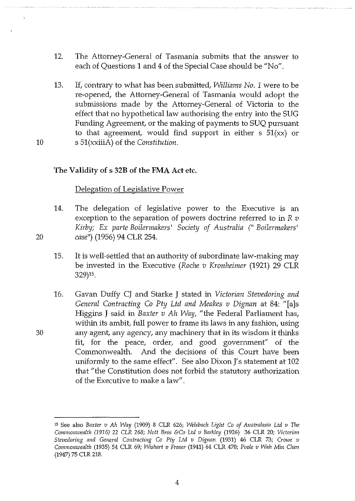- 12. The Attorney-General of Tasmania submits that the answer to each of Questions 1 and 4 of the Special Case should be "No".
- 13. If, contrary to what has been submitted, *Williams No. 1* were to be re-opened, the Attorney-General of Tasmania would adopt the submissions made by the Attorney-General of Victoria to the effect that no hypothetical law authorising the entry into the SUG Funding Agreement, or the making of payments to SUQ pursuant to that agreement, would find support in either  $s$  51(xx) or 10 s 51(xxiiiA) of the *Constitution.*

## **The Validity of s 32B of the FMA Act** etc.

### Delegation of Legislative Power

- 14. The delegation of legislative power to the Executive is an exception to the separation of powers doctrine referred to in  $R v$ *Kirby; Ex parte Boilermakers* 1 *Society of Australia (" Boilermakers* <sup>1</sup> 20 *case")* (1956) 94 CLR 254.
	- 15. It is well-settled that an authority of subordinate law-making may be invested in the Executive *(Roche v Kronheimer* (1921) 29 CLR 329)15.
- 16. Gavan Duffy CJ and Starke **J** stated in *Victorian Stevedoring and General Contracting Co Phj Ltd and Meakes v Dignan* at 84: "[a]s Higgins J said in *Baxter v Ah Way,* "the Federal Parliament has, within its ambit, full power to frame its laws in any fashion, using 30 any agent, any agency, any machinery that in its wisdom it thinks fit, for the peace, order, and good government" of the Commonwealth. And the decisions of this Court have been uniformly to the same effect". See also Dixon J's statement at 102 that "the Constitution does not forbid the statutory authorization of the Executive to make a law".

<sup>15</sup> See also *Baxter v Ah Way* (1909) 8 CLR 626; *Welsbach Light Co of Australasia Ltd v The Commonwealth (1916)* 22 CLR *268; Nott Bros &Co Ltd v Barkley* (1926) 36 CLR 20; *Victorian Stevedoring and General Contracting Co Pty Ltd v Dignan (1931) 46 CLR 73; Crowe v Commonwealth* (1935) 54 CLR 69; *Wishart v Fraser* (1941) 64 CLR 470; *Poole v Wah* Min *Chan*  (1947) 75 CLR 218.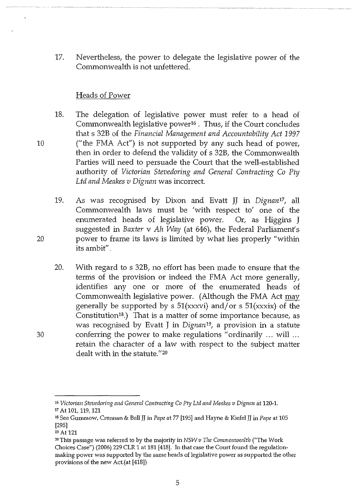17. Nevertheless, the power to delegate the legislative power of the Commonwealth is not unfettered.

### Heads of Power

- 18. The delegation of legislative power must refer to a head of Commonwealth legislative power16 . Thus, if the Court concludes that s 32B of the *Financial Management and Accountability Act 1997*  ("the FMA Act") is not supported by any such head of power, then in order to defend the validity of s 32B, the Commonwealth Parties will need to persuade the Court that the well-established authority of *Victorian Stevedoring and General Contracting Co Phj Ltd and Meakes v Dignan* was incorrect.
- 19. As was recognised by Dixon and Evatt JJ in *Dignan17,* all Commonwealth laws must be 'with respect to' one of the enumerated heads of legislative power. Or, as Higgins J suggested in *Baxter* v *Ah Way* (at 646), the Federal Parliament's power to frame its laws is limited by what lies properly "within its ambit".
- 20. With regard to s 32B, no effort has been made to ensure that the terms of the provision or indeed the FMA Act more generally, identifies any one or more of the enumerated heads of Commonwealth legislative power. (Although the FMA Act may generally be supported by s  $51(xxxv)$  and/or s  $51(xxxv)$  of the Constitution<sup>18</sup>.) That is a matter of some importance because, as was recognised by Evatt J in *Dignan19,* a provision in a statute conferring the power to make regulations "ordinarily ... will ... retain the character of a law with respect to the subject matter dealt with in the statute."20

10

<sup>&</sup>lt;sup>16</sup> Victorian Stevedoring and General Contracting Co Pty Ltd and Meakes v Dignan at 120-1. 17 At 101, 119, 121

<sup>18</sup> See Gummow, Crennan & Bell JJ in *Pape* at 77 [195] and Hayne & Kiefel JJ in *Pape* at 105 [295]

<sup>19</sup> At 121

<sup>2</sup>o This passage was referred to by the majority in *NSW v 17ze Commonwealth* ("The Work Choices Case") (2006) 229 CLR 1 at 181 [418]. In that case the Court found the regulationmaking power was supported by the same heads of legislative power as supported the other provisions of the new Act.(at [418])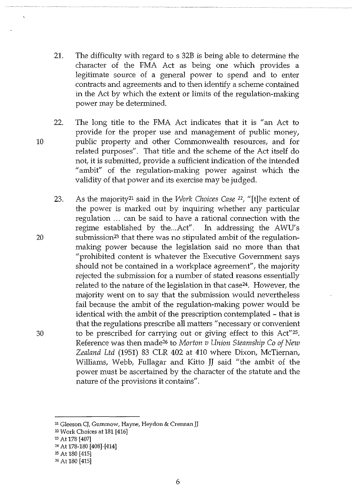- 21. The difficulty with regard to s 32B is being able to determine the character of the FMA Act as being one which provides a legitimate source of a general power to spend and to enter contracts and agreements and to then identify a scheme contained in the Act by which the extent or limits of the regulation-making power may be determined.
- 22. The long title to the FMA Act indicates that it is "an Act to provide for the proper use and management of public money, 10 public property and other Commonwealth resources, and for related purposes". That title and the scheme of the Act itself do not, it is submitted, provide a sufficient indication of the intended "ambit" of the regulation-making power against which the validity of that power and its exercise may be judged.
- 23. As the majority21 said in the *Work Choices Case* 22, "[t]he extent of the power is marked out by inquiring whether any particular regulation ... can be said to have a rational connection with the regime established by the ... Act". In addressing the AWU's 20 submission23 that there was no stipulated ambit of the regulationmaking power because the legislation said no more than that "prohibited content is whatever the Executive Government says should not be contained in a workplace agreement", the majority rejected the submission for a number of stated reasons essentially related to the nature of the legislation in that case<sup>24</sup>. However, the majority went on to say that the submission would nevertheless fail because the ambit of the regulation-making power would be identical with the ambit of the prescription contemplated - that is that the regulations prescribe all matters "necessary or convenient 30 to be prescribed for carrying out or giving effect to this Act"25. Reference was then made26 to *Morton v Union Steamship Co of New Zealand Ltd* (1951) 83 CLR 402 at 410 where Dixon, McTiernan, Williams, Webb, Fullagar and Kitto JJ said "the ambit of the power must be ascertained by the character of the statute and the nature of the provisions it contains".

<sup>&</sup>lt;sup>21</sup> Gleeson CJ, Gummow, Hayne, Heydon & Crennan JJ

<sup>22</sup>Work Choices at 181 [416]

<sup>23</sup> At 178 [407]

<sup>24</sup> At 178-180 [408]-[414]

<sup>2</sup>s At 180 [415]

<sup>26</sup> At 180 [415]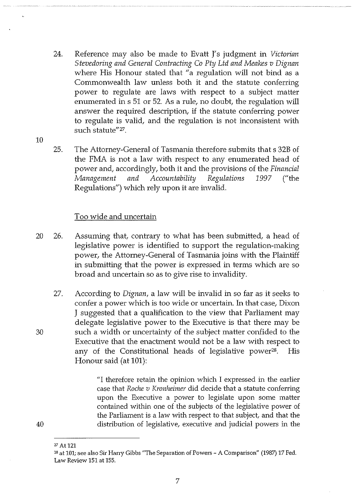- 24. Reference may also be made to Evatt **J'** s judgment in *Victorian Stevedoring and General Contracting Co Pty Ltd and Meakes v Dignan*  where His Honour stated that "a regulation will not bind as a Commonwealth law unless both it and the statute conferring power to regulate are laws with respect to a subject matter enumerated in s 51 or 52. As a rule, no doubt, the regulation will answer the required description, if the statute conferring power to regulate is valid, and the regulation is not inconsistent with such statute"<sup>27</sup>.
- 10
- 25. The Attorney-General of Tasmania therefore submits that s 32B of the FMA is not a law with respect to any enumerated head of power and, accordingly, both it and the provisions of the *Financial Management and AccountabilihJ Regulations 1997* ("the Regulations") which rely upon it are invalid.

### Too wide and uncertain

- 20 26. Assuming that, contrary to what has been submitted, a head of legislative power is identified to support the regulation-making power, the Attorney-General of Tasmania joins with the Plaintiff in submitting that the power is expressed in terms which are so broad and uncertain so as to give rise to invalidity.
- 27. According to *Dignan,* a law will be invalid in so far as it seeks to confer a power which is too wide or uncertain. In that case, Dixon J suggested that a qualification to the view that Parliament may delegate legislative power to the Executive is that there may be 30 such a width or uncertainty of the subject matter confided to the Executive that the enactment would not be a law with respect to any of the Constitutional heads of legislative power<sup>28</sup>. His Honour said (at **101):**

"I therefore retain the opinion which I expressed in the earlier case that *Roche v Kronheimer* did decide that a statute conferring upon the Executive a power to legislate upon some matter contained within one of the subjects of the legislative power of the Parliament is a law with respect to that subject, and that the distribution of legislative, executive and judicial powers in the

<sup>27</sup> At 121

<sup>&</sup>lt;sup>28</sup> at 101; see also Sir Harry Gibbs "The Separation of Powers - A Comparison" (1987) 17 Fed. Law Review 151 at 155.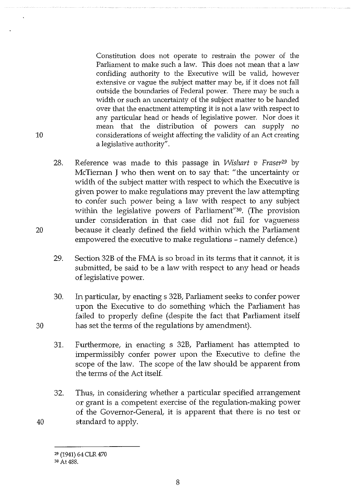Constitution does not operate to restrain the power of the Parliament to make such a law. This does not mean that a law confiding authority to the Executive will be valid, however extensive or vague the subject matter may be, if it does not fall outside the boundaries of Federal power. There may be such a width or such an uncertainty of the subject matter to be handed over that the enactment attempting it is not a law with respect to any particular head or heads of legislative power. Nor does it mean that the distribution of powers can supply no considerations of weight affecting the validity of an Act creating a legislative authority".

- 28. Reference was made to this passage in *Wishart v Fraser29* by McTiernan J who then went on to say that: "the uncertainty or width of the subject matter with respect to which the Executive is given power to make regulations may prevent the law attempting to confer such power being a law with respect to any subject within the legislative powers of Parliament"30. (The provision under consideration in that case did not fail for vagueness 20 because it clearly defined the field within which the Parliament empowered the executive to make regulations - namely defence.)
	- 29. Section 32B of the FMA is so broad in its terms that it cannot, it is submitted, be said to be a law with respect to any head or heads of legislative power.
- 30. In particular, by enacting s 32B, Parliament seeks to confer power upon the Executive to do something which the Parliament has failed to properly define (despite the fact that Parliament itself 30 has set the terms of the regulations by amendment).
	- 31. Furthermore, in enacting s 32B, Parliament has attempted to impermissibly confer power upon the Executive to define the scope of the law. The scope of the law should be apparent from the terms of the Act itself.
- 32. Thus, in considering whether a particular specified arrangement or grant is a competent exercise of the regulation-making power of the Governor-General, it is apparent that there is no test or 40 standard to apply.

<sup>29 (1941) 64</sup> CLR 470

<sup>&</sup>lt;sup>30</sup> At 488.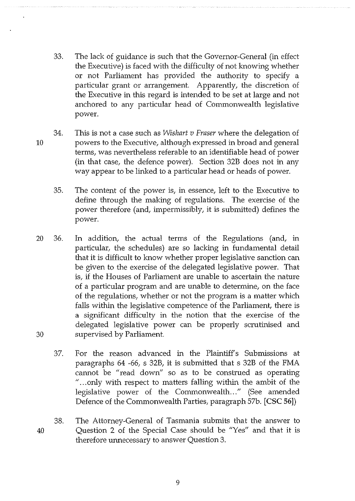- 33. The lack of guidance is such that the Governor-General (in effect the Executive) is faced with the difficulty of not knowing whether or not Parliament has provided the authority to specify a particular grant or arrangement. Apparently, the discretion of the Executive in this regard is intended to be set at large and not anchored to any particular head of Commonwealth legislative power.
- 34. This is not a case such as *Wishart v Fraser* where the delegation of 10 powers to the Executive, although expressed in broad and general terms, was nevertheless referable to an identifiable head of power (in that case, the defence power). Section 32B does not in any way appear to be linked to a particular head or heads of power.
	- 35. The content of the power is, in essence, left to the Executive to define through the making of regulations. The exercise of the power therefore (and, impermissibly, it is submitted) defines the power.
- 20 36. In addition, the actual terms of the Regulations (and, in particular, the schedules) are so lacking in fundamental detail that it is difficult to know whether proper legislative sanction can be given to the exercise of the delegated legislative power. That is, if the Houses of Parliament are unable to ascertain the nature of a particular program and are unable to determine, on the face of the regulations, whether or not the program is a matter which falls within the legislative competence of the Parliament, there is a significant difficulty in the notion that the exercise of the delegated legislative power can be properly scrutinised and 30 supervised by Parliament.
	- 37. For the reason advanced in the Plaintiff's Submissions at paragraphs 64 -66, s 32B, it is submitted that s 32B of the FMA cannot be "read down" so as to be construed as operating " ... only with respect to matters falling within the ambit of the legislative power of the Commonwealth..." (See amended Defence of the Commonwealth Parties, paragraph 57b. [CSC 56])
- 38. The Attorney-General of Tasmania submits that the answer to 40 Question 2 of the Special Case should be "Yes" and that it is therefore unnecessary to answer Question 3.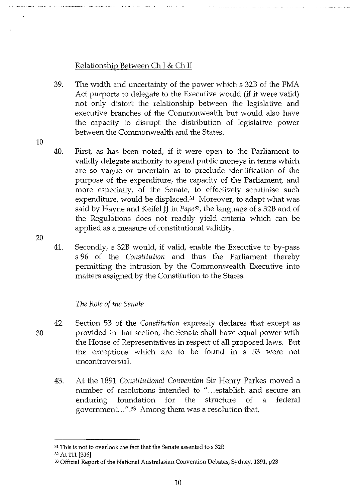## Relationship Between Ch I & Ch II

39. The width and uncertainty of the power which s 32B of the FMA Act purports to delegate to the Executive would (if it were valid) not only distort the relationship between the legislative and executive branches of the Commonwealth but would also have the capacity to disrupt the distribution of legislative power between the Commonwealth and the States.

10

20

- 40. First, as has been noted, if it were open to the Parliament to validly delegate authority to spend public moneys in terms which are so vague or uncertain as to preclude identification of the purpose of the expenditure, the capacity of the Parliament, and more especially, of the Senate, to effectively scrutinise such expenditure, would be displaced.<sup>31</sup> Moreover, to adapt what was said by Hayne and Keifel JJ in *Pape32,* the language of s 32B and of the Regulations does not readily yield criteria which can be applied as a measure of constitutional validity.
- 41. Secondly, s 32B would, if valid, enable the Executive to by-pass s 96 of the *Constitution* and thus the Parliament thereby permitting the intrusion by the Commonwealth Executive into matters assigned by the Constitution to the States.

## *The Role of the Senate*

- 42. Section 53 of the *Constitution* expressly declares that except as 30 provided in that section, the Senate shall have equal power with the House of Representatives in respect of all proposed laws. But the exceptions which are to be found in s 53 were not uncontroversial.
	- 43. At the 1891 *Constitutional Convention* Sir Hemy Parkes moved a number of resolutions intended to "... establish and secure an enduring foundation for the structure of a federal government...".<sup>33</sup> Among them was a resolution that,

<sup>&</sup>lt;sup>31</sup> This is not to overlook the fact that the Senate assented to s 32B

<sup>32</sup> At 111 [316]

<sup>33</sup> Official Report of the National Australasian Convention Debates, Sydney, 1891, p23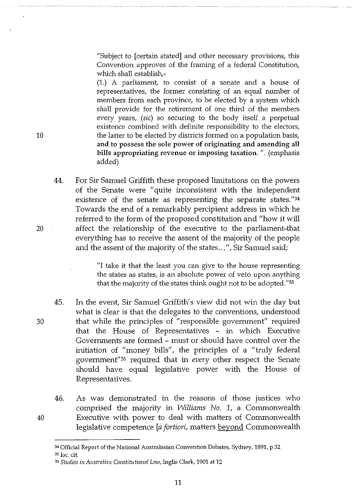"Subject to [certain stated] and other necessary provisions, this Convention approves of the framing of a federal Constitution, which shall establish,-

(1.) A parliament, to consist of a senate and a house of representatives, the former consisting of an equal number of members from each province, to be elected by a system which shall provide for the retirement of one third of the members every years, (sic) so securing to the body itself a perpetual existence combined with definite responsibility to the electors, the latter to be elected by districts formed on a population basis, and to possess the sole power of originating and amending all bills appropriating revenue or imposing taxation.". (emphasis added)

44. For Sir Samuel Griffith these proposed limitations on the powers of the Senate were "quite inconsistent with the independent existence of the senate as representing the separate states."34 Towards the end of a remarkably percipient address in which he referred to the form of the proposed constitution and "how it will affect the relationship of the executive to the parliament-that everything has to receive the assent of the majority of the people and the assent of the majority of the states ... ", Sir Samuel said;

> "I take it that the least you can give to the house representing the states as states, is an absolute power of veto upon anything that the majority of the states think ought not to be adopted."35

45. In the event, Sir Samuel Griffith's view did not win the day but what is clear is that the delegates to the conventions, understood 30 that while the principles of "responsible government" required that the House of Representatives - in which Executive Governments are formed - must or should have control over the initiation of "money bills", the principles of a "truly federal governmenf'36 required that in *every* other respect the Senate should have equal legislative power with the House of Representatives.

46. As was demonstrated in the reasons of those justices who comprised the majority in *Williams No.* 1, a Commonwealth 40 Executive with power to deal with matters of Commonwealth legislative competence *[a fortiori,* matters beyond Commonwealth

35 loc. cit.

20

<sup>&</sup>lt;sup>34</sup> Official Report of the National Australasian Convention Debates, Sydney, 1891, p 32

<sup>36</sup>*Studies in Austrnlinn Constitutional Lnw,* Inglis Clark, 1901 at 12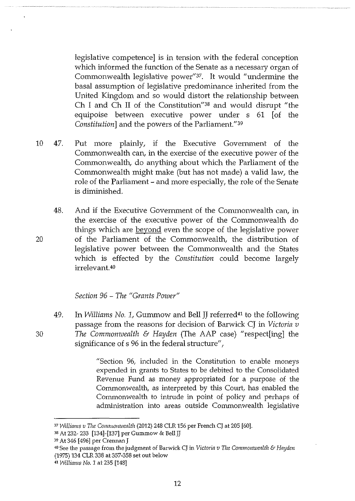legislative competence] is in tension with the federal conception which informed the function of the Senate as a necessary organ of Commonwealth legislative power"37. It would "undermine the basal assumption of legislative predominance inherited from the United Kingdom and so would distort the relationship between Ch I and Ch II of the Constitution<sup>"38</sup> and would disrupt "the equipoise between executive power under s 61 [of the *Constitution]* and the powers of the Parliament."39

- 10 47. Put more plainly, if the Executive Government of the Commonwealth can, in the exercise of the executive power of the Commonwealth, do anything about which the Parliament of the Commonwealth might make (but has not made) a valid law, the role of the Parliament - and more especially, the role of the Senate is diminished.
- 48. And if the Executive Government of the Commonwealth can, in the exercise of the executive power of the Commonwealth do things which are beyond even the scope of the legislative power 20 of the Parliament of the Commonwealth, the distribution of legislative power between the Commonwealth and the States which is effected by the *Constitution* could become largely irrelevant.40

#### *Section 96* - *The "Grants Power"*

49. In *Williams No.* 1, Gummow and Bell JJ referred41 to the following passage from the reasons for decision of Barwick CJ in *Victoria v*  30 *The Commonwealth & Hayden* (The AAP case) "respect[ing] the significance of s 96 in the federal structure",

> "Section 96, included in the Constitution to enable moneys expended in grants to States to be debited to the Consolidated Revenue Fund as money appropriated for a purpose of the Commonwealth, as interpreted by this Court, has enabled the Commonwealth to intrude in point of policy and perhaps of administration into areas outside Commonwealth legislative

<sup>37</sup>*Williams v The Commonwealth* (2012) 248 CLR 156 per French CJ at 205 [60].

<sup>38</sup> At 232- 233 [134]-[137] per Gummow & Bell JJ

<sup>39</sup> At 346 [496] per Crennan J

<sup>•</sup>o See the passage from the judgment of Barwick CJ in *Victotin v The Commonwealth* & *Hayden*  (1975) 134 CLR 338 at 357-358 set out below

<sup>&</sup>lt;I *Williams No. 1* at 235 [148]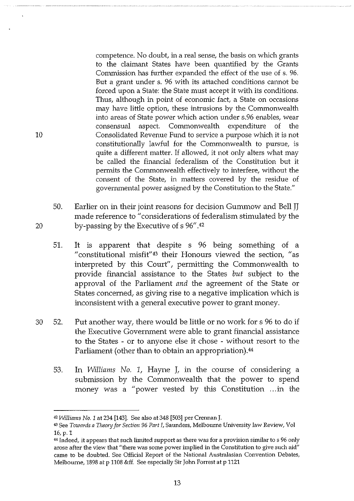competence. No doubt, in a real sense, the basis on which grants to the claimant States have been quantified by the Grants Commission has further expanded the effect of the use of s. 96. But a grant under s. 96 with its attached conditions cannot be forced upon a State: the State must accept it with its conditions. Thus, although in point of economic fact, a State on occasions may have little option, these intrusions by the Commonwealth into areas of State power which action under s.96 enables, wear consensual aspect. Commonwealth expenditure of the Consolidated Revenue Fund to service a purpose which it is not constitutionally lawful for the Commonwealth to pursue, is quite a different matter. If allowed, it not only alters what may be called the financial federalism of the Constitution but it permits the Commonwealth effectively to interfere, without the consent of the State, in matters covered by the residue of governmental power assigned by the Constitution to the State."

50. Earlier on in their joint reasons for decision Gummow and Bell JJ made reference to "considerations of federalism stimulated by the by-passing by the Executive of s 96" .42

10

- 51. It is apparent that despite s 96 being something of a "constitutional misfit"43 their Honours viewed the section, "as interpreted by this Court", permitting the Commonwealth to provide financial assistance to the States *but* subject to the approval of the Parliament and the agreement of the State or States concerned, as giving rise to a negative implication which is inconsistent with a general executive power to grant money.
- 30 52. Put another way, there would be little or no work for s 96 to do if the Executive Government were able to grant financial assistance to the States - or to anyone else it chose - without resort to the Parliament (other than to obtain an appropriation).<sup>44</sup>
	- 53. In *Williams No. 1,* Hayne J, in the course of considering a submission by the Commonwealth that the power to spend money was a "power vested by this Constitution ... in the

<sup>42</sup>*Williams No. 1* at 234 [143]. See also at 348 [503] per Crennan J.

<sup>43</sup> See *Towards a Theon; for Section* 96 *Part I,* Saunders, Melbourne University law Review, Vol 16, p.l

<sup>&</sup>lt;sup>44</sup> Indeed, it appears that such limited support as there was for a provision similar to s 96 only arose after the view that "there was some power implied in the Constitution to give such aid" came to be doubted. See Official Report of the National Australasian Convention Debates, Melbourne, 1898 at p 1108 &ff. See especially Sir John Forrest at p 1121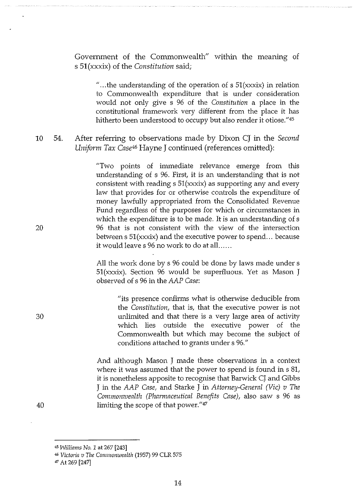Government of the Commonwealth" within the meaning of s 51(xxxix) of the *Constitution* said;

"... the understanding of the operation of s  $51(xxxix)$  in relation to Commonwealth expenditure that is under consideration would not only give s 96 of the *Constitution* a place in the constitutional framework very different from the place it has hitherto been understood to occupy but also render it otiose."<sup>45</sup>

10 54. After referring to observations made by Dixon CJ in the *Second Uniform Tax Case46* Hayne J continued (references omitted):

> "Two points of immediate relevance emerge from this understanding of s 96. First, it is an understanding that is not consistent with reading  $s$  51(xxxix) as supporting any and every law that provides for or otherwise controls the expenditure of money lawfully appropriated from the Consolidated Revenue Fund regardless of the purposes for which or circumstances in which the expenditure is to be made. It is an understanding of s 96 that is not consistent with the view of the intersection between  $s 51(xxxix)$  and the executive power to spend... because it would leave s 96 no work to do at all......

> All the work done by s 96 could be done by laws made under s 51(xxxix). Section 96 would be superfluous. Yet as Mason J observed of s 96 in the *AAP Case:*

> > "its presence confirms what is otherwise deducible from the *Constitution,* that is, that the executive power is not unlimited and that there is a very large area of activity which lies outside the executive power of the Commonwealth but which may become the subject of conditions attached to grants under s 96."

And although Mason J made these observations in a context where it was assumed that the power to spend is found in s 81, it is nonetheless apposite to recognise that Barwick CJ and Gibbs J in the *AAP Case,* and Starke J in *Attorney-General (Vic) v The Commonwealth (Pharmaceutical Benefits Case),* also saw s 96 as limiting the scope of that power."47

20

30

40

<sup>45</sup>*Willinms No. 1* at 267 [243]

<sup>&#</sup>x27;' *Victorin v I11e Commomuenlth* (1957) 99 CLR 575

*<sup>47</sup>*At 269 [247]